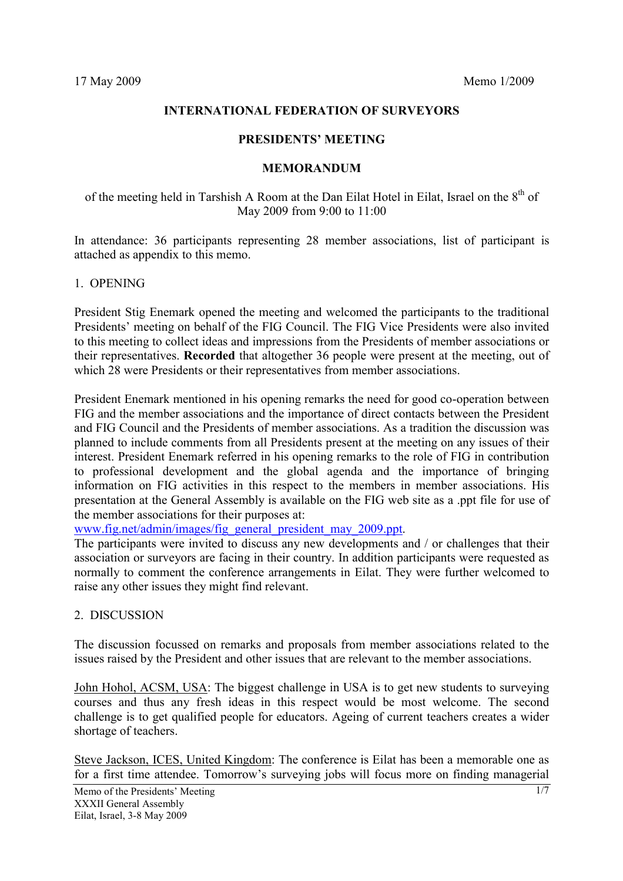## **INTERNATIONAL FEDERATION OF SURVEYORS**

#### **PRESIDENTS' MEETING**

#### **MEMORANDUM**

of the meeting held in Tarshish A Room at the Dan Eilat Hotel in Eilat, Israel on the 8<sup>th</sup> of May 2009 from 9:00 to 11:00

In attendance: 36 participants representing 28 member associations, list of participant is attached as appendix to this memo.

### 1. OPENING

President Stig Enemark opened the meeting and welcomed the participants to the traditional Presidents' meeting on behalf of the FIG Council. The FIG Vice Presidents were also invited to this meeting to collect ideas and impressions from the Presidents of member associations or their representatives. **Recorded** that altogether 36 people were present at the meeting, out of which 28 were Presidents or their representatives from member associations.

President Enemark mentioned in his opening remarks the need for good co-operation between FIG and the member associations and the importance of direct contacts between the President and FIG Council and the Presidents of member associations. As a tradition the discussion was planned to include comments from all Presidents present at the meeting on any issues of their interest. President Enemark referred in his opening remarks to the role of FIG in contribution to professional development and the global agenda and the importance of bringing information on FIG activities in this respect to the members in member associations. His presentation at the General Assembly is available on the FIG web site as a .ppt file for use of the member associations for their purposes at:

www.fig.net/admin/images/fig\_general\_president\_may\_2009.ppt.

The participants were invited to discuss any new developments and / or challenges that their association or surveyors are facing in their country. In addition participants were requested as normally to comment the conference arrangements in Eilat. They were further welcomed to raise any other issues they might find relevant.

## 2. DISCUSSION

The discussion focussed on remarks and proposals from member associations related to the issues raised by the President and other issues that are relevant to the member associations.

John Hohol, ACSM, USA: The biggest challenge in USA is to get new students to surveying courses and thus any fresh ideas in this respect would be most welcome. The second challenge is to get qualified people for educators. Ageing of current teachers creates a wider shortage of teachers.

Steve Jackson, ICES, United Kingdom: The conference is Eilat has been a memorable one as for a first time attendee. Tomorrow's surveying jobs will focus more on finding managerial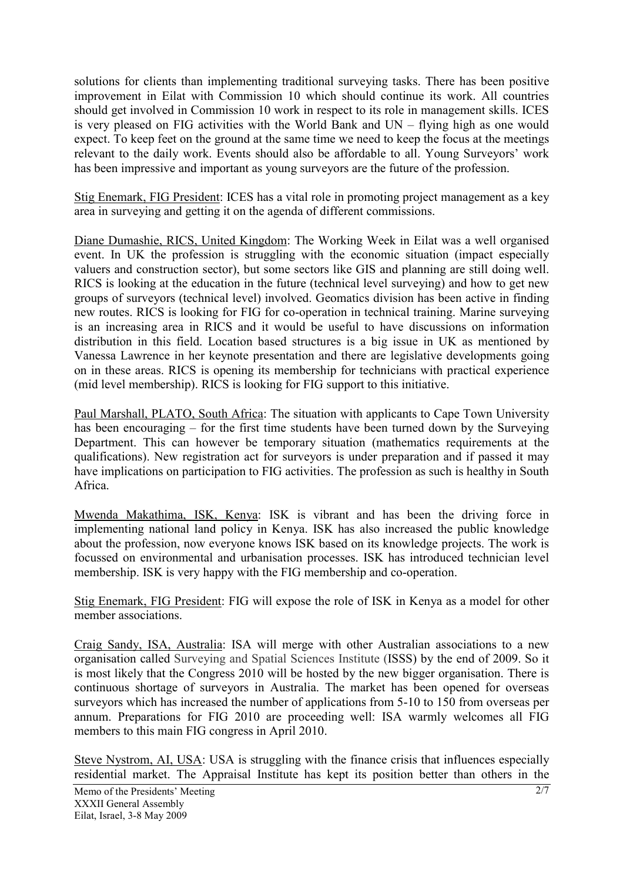solutions for clients than implementing traditional surveying tasks. There has been positive improvement in Eilat with Commission 10 which should continue its work. All countries should get involved in Commission 10 work in respect to its role in management skills. ICES is very pleased on FIG activities with the World Bank and UN – flying high as one would expect. To keep feet on the ground at the same time we need to keep the focus at the meetings relevant to the daily work. Events should also be affordable to all. Young Surveyors' work has been impressive and important as young surveyors are the future of the profession.

Stig Enemark, FIG President: ICES has a vital role in promoting project management as a key area in surveying and getting it on the agenda of different commissions.

Diane Dumashie, RICS, United Kingdom: The Working Week in Eilat was a well organised event. In UK the profession is struggling with the economic situation (impact especially valuers and construction sector), but some sectors like GIS and planning are still doing well. RICS is looking at the education in the future (technical level surveying) and how to get new groups of surveyors (technical level) involved. Geomatics division has been active in finding new routes. RICS is looking for FIG for co-operation in technical training. Marine surveying is an increasing area in RICS and it would be useful to have discussions on information distribution in this field. Location based structures is a big issue in UK as mentioned by Vanessa Lawrence in her keynote presentation and there are legislative developments going on in these areas. RICS is opening its membership for technicians with practical experience (mid level membership). RICS is looking for FIG support to this initiative.

Paul Marshall, PLATO, South Africa: The situation with applicants to Cape Town University has been encouraging – for the first time students have been turned down by the Surveying Department. This can however be temporary situation (mathematics requirements at the qualifications). New registration act for surveyors is under preparation and if passed it may have implications on participation to FIG activities. The profession as such is healthy in South Africa.

Mwenda Makathima, ISK, Kenya: ISK is vibrant and has been the driving force in implementing national land policy in Kenya. ISK has also increased the public knowledge about the profession, now everyone knows ISK based on its knowledge projects. The work is focussed on environmental and urbanisation processes. ISK has introduced technician level membership. ISK is very happy with the FIG membership and co-operation.

Stig Enemark, FIG President: FIG will expose the role of ISK in Kenya as a model for other member associations.

Craig Sandy, ISA, Australia: ISA will merge with other Australian associations to a new organisation called Surveying and Spatial Sciences Institute (ISSS) by the end of 2009. So it is most likely that the Congress 2010 will be hosted by the new bigger organisation. There is continuous shortage of surveyors in Australia. The market has been opened for overseas surveyors which has increased the number of applications from 5-10 to 150 from overseas per annum. Preparations for FIG 2010 are proceeding well: ISA warmly welcomes all FIG members to this main FIG congress in April 2010.

Steve Nystrom, AI, USA: USA is struggling with the finance crisis that influences especially residential market. The Appraisal Institute has kept its position better than others in the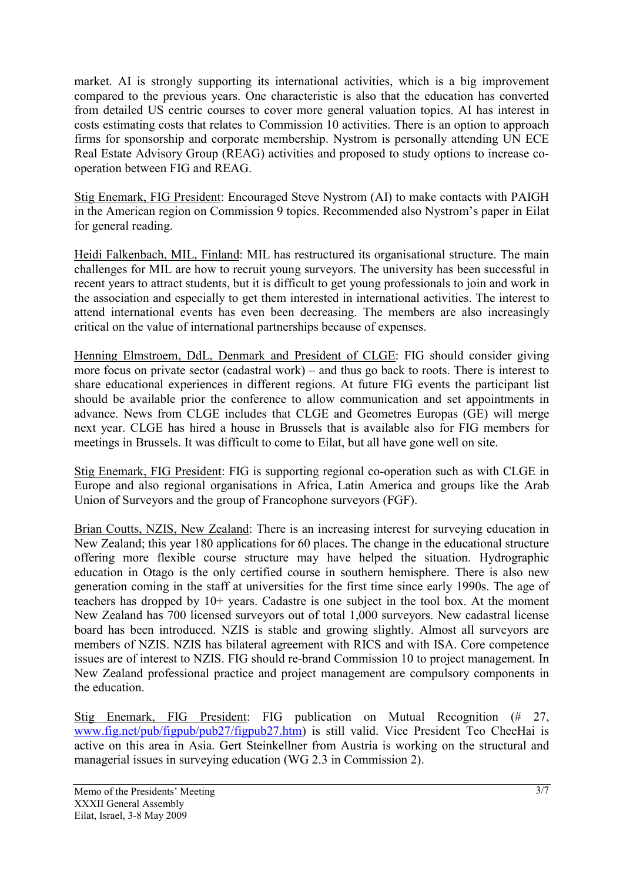market. AI is strongly supporting its international activities, which is a big improvement compared to the previous years. One characteristic is also that the education has converted from detailed US centric courses to cover more general valuation topics. AI has interest in costs estimating costs that relates to Commission 10 activities. There is an option to approach firms for sponsorship and corporate membership. Nystrom is personally attending UN ECE Real Estate Advisory Group (REAG) activities and proposed to study options to increase cooperation between FIG and REAG.

Stig Enemark, FIG President: Encouraged Steve Nystrom (AI) to make contacts with PAIGH in the American region on Commission 9 topics. Recommended also Nystrom's paper in Eilat for general reading.

Heidi Falkenbach, MIL, Finland: MIL has restructured its organisational structure. The main challenges for MIL are how to recruit young surveyors. The university has been successful in recent years to attract students, but it is difficult to get young professionals to join and work in the association and especially to get them interested in international activities. The interest to attend international events has even been decreasing. The members are also increasingly critical on the value of international partnerships because of expenses.

Henning Elmstroem, DdL, Denmark and President of CLGE: FIG should consider giving more focus on private sector (cadastral work) – and thus go back to roots. There is interest to share educational experiences in different regions. At future FIG events the participant list should be available prior the conference to allow communication and set appointments in advance. News from CLGE includes that CLGE and Geometres Europas (GE) will merge next year. CLGE has hired a house in Brussels that is available also for FIG members for meetings in Brussels. It was difficult to come to Eilat, but all have gone well on site.

Stig Enemark, FIG President: FIG is supporting regional co-operation such as with CLGE in Europe and also regional organisations in Africa, Latin America and groups like the Arab Union of Surveyors and the group of Francophone surveyors (FGF).

Brian Coutts, NZIS, New Zealand: There is an increasing interest for surveying education in New Zealand; this year 180 applications for 60 places. The change in the educational structure offering more flexible course structure may have helped the situation. Hydrographic education in Otago is the only certified course in southern hemisphere. There is also new generation coming in the staff at universities for the first time since early 1990s. The age of teachers has dropped by 10+ years. Cadastre is one subject in the tool box. At the moment New Zealand has 700 licensed surveyors out of total 1,000 surveyors. New cadastral license board has been introduced. NZIS is stable and growing slightly. Almost all surveyors are members of NZIS. NZIS has bilateral agreement with RICS and with ISA. Core competence issues are of interest to NZIS. FIG should re-brand Commission 10 to project management. In New Zealand professional practice and project management are compulsory components in the education.

Stig Enemark, FIG President: FIG publication on Mutual Recognition (# 27, www.fig.net/pub/figpub/pub27/figpub27.htm) is still valid. Vice President Teo CheeHai is active on this area in Asia. Gert Steinkellner from Austria is working on the structural and managerial issues in surveying education (WG 2.3 in Commission 2).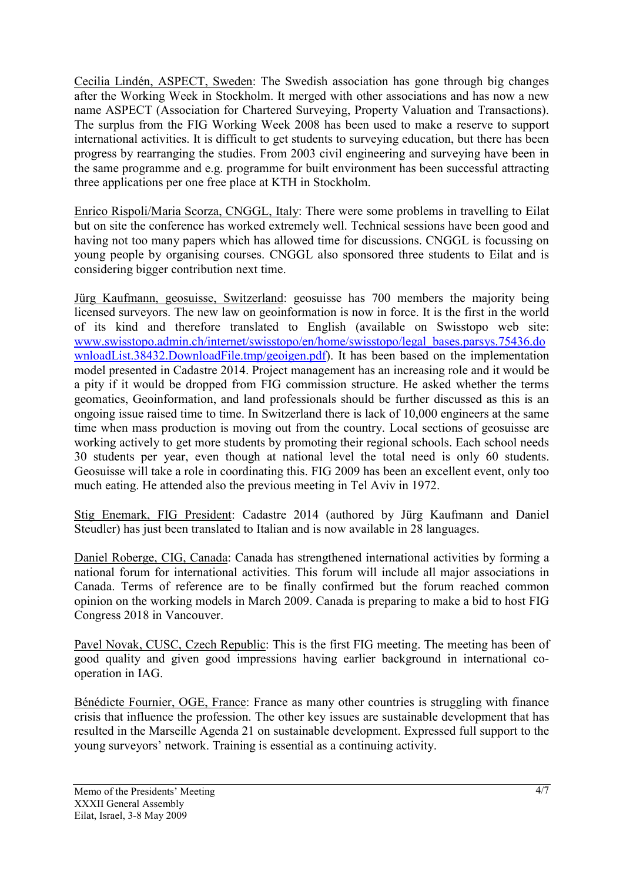Cecilia Lindén, ASPECT, Sweden: The Swedish association has gone through big changes after the Working Week in Stockholm. It merged with other associations and has now a new name ASPECT (Association for Chartered Surveying, Property Valuation and Transactions). The surplus from the FIG Working Week 2008 has been used to make a reserve to support international activities. It is difficult to get students to surveying education, but there has been progress by rearranging the studies. From 2003 civil engineering and surveying have been in the same programme and e.g. programme for built environment has been successful attracting three applications per one free place at KTH in Stockholm.

Enrico Rispoli/Maria Scorza, CNGGL, Italy: There were some problems in travelling to Eilat but on site the conference has worked extremely well. Technical sessions have been good and having not too many papers which has allowed time for discussions. CNGGL is focussing on young people by organising courses. CNGGL also sponsored three students to Eilat and is considering bigger contribution next time.

Jürg Kaufmann, geosuisse, Switzerland: geosuisse has 700 members the majority being licensed surveyors. The new law on geoinformation is now in force. It is the first in the world of its kind and therefore translated to English (available on Swisstopo web site: www.swisstopo.admin.ch/internet/swisstopo/en/home/swisstopo/legal\_bases.parsys.75436.do wnloadList.38432.DownloadFile.tmp/geoigen.pdf). It has been based on the implementation model presented in Cadastre 2014. Project management has an increasing role and it would be a pity if it would be dropped from FIG commission structure. He asked whether the terms geomatics, Geoinformation, and land professionals should be further discussed as this is an ongoing issue raised time to time. In Switzerland there is lack of 10,000 engineers at the same time when mass production is moving out from the country. Local sections of geosuisse are working actively to get more students by promoting their regional schools. Each school needs 30 students per year, even though at national level the total need is only 60 students. Geosuisse will take a role in coordinating this. FIG 2009 has been an excellent event, only too much eating. He attended also the previous meeting in Tel Aviv in 1972.

Stig Enemark, FIG President: Cadastre 2014 (authored by Jürg Kaufmann and Daniel Steudler) has just been translated to Italian and is now available in 28 languages.

Daniel Roberge, CIG, Canada: Canada has strengthened international activities by forming a national forum for international activities. This forum will include all major associations in Canada. Terms of reference are to be finally confirmed but the forum reached common opinion on the working models in March 2009. Canada is preparing to make a bid to host FIG Congress 2018 in Vancouver.

Pavel Novak, CUSC, Czech Republic: This is the first FIG meeting. The meeting has been of good quality and given good impressions having earlier background in international cooperation in IAG.

Bénédicte Fournier, OGE, France: France as many other countries is struggling with finance crisis that influence the profession. The other key issues are sustainable development that has resulted in the Marseille Agenda 21 on sustainable development. Expressed full support to the young surveyors' network. Training is essential as a continuing activity.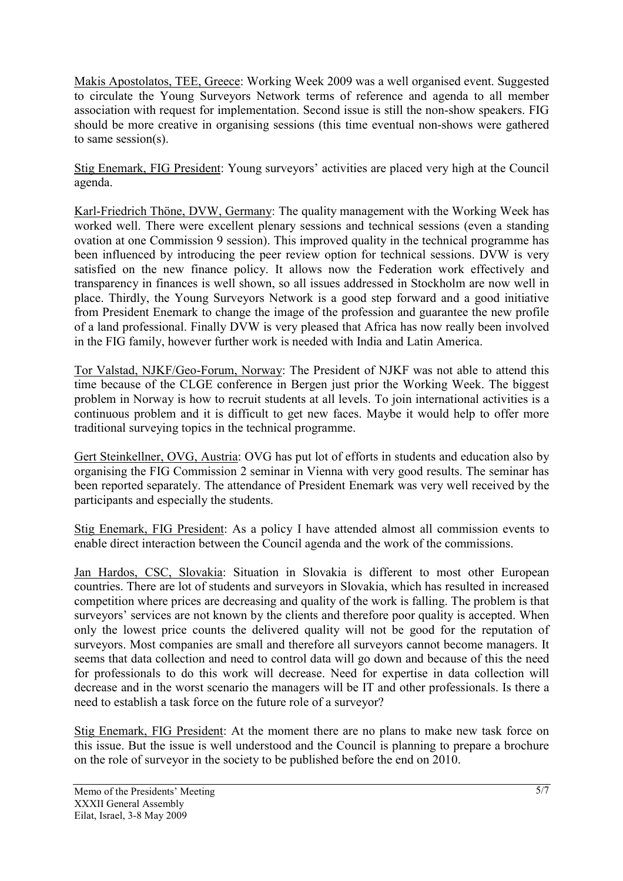Makis Apostolatos, TEE, Greece: Working Week 2009 was a well organised event. Suggested to circulate the Young Surveyors Network terms of reference and agenda to all member association with request for implementation. Second issue is still the non-show speakers. FIG should be more creative in organising sessions (this time eventual non-shows were gathered to same session(s).

Stig Enemark, FIG President: Young surveyors' activities are placed very high at the Council agenda.

Karl-Friedrich Thöne, DVW, Germany: The quality management with the Working Week has worked well. There were excellent plenary sessions and technical sessions (even a standing ovation at one Commission 9 session). This improved quality in the technical programme has been influenced by introducing the peer review option for technical sessions. DVW is very satisfied on the new finance policy. It allows now the Federation work effectively and transparency in finances is well shown, so all issues addressed in Stockholm are now well in place. Thirdly, the Young Surveyors Network is a good step forward and a good initiative from President Enemark to change the image of the profession and guarantee the new profile of a land professional. Finally DVW is very pleased that Africa has now really been involved in the FIG family, however further work is needed with India and Latin America.

Tor Valstad, NJKF/Geo-Forum, Norway: The President of NJKF was not able to attend this time because of the CLGE conference in Bergen just prior the Working Week. The biggest problem in Norway is how to recruit students at all levels. To join international activities is a continuous problem and it is difficult to get new faces. Maybe it would help to offer more traditional surveying topics in the technical programme.

Gert Steinkellner, OVG, Austria: OVG has put lot of efforts in students and education also by organising the FIG Commission 2 seminar in Vienna with very good results. The seminar has been reported separately. The attendance of President Enemark was very well received by the participants and especially the students.

Stig Enemark, FIG President: As a policy I have attended almost all commission events to enable direct interaction between the Council agenda and the work of the commissions.

Jan Hardos, CSC, Slovakia: Situation in Slovakia is different to most other European countries. There are lot of students and surveyors in Slovakia, which has resulted in increased competition where prices are decreasing and quality of the work is falling. The problem is that surveyors' services are not known by the clients and therefore poor quality is accepted. When only the lowest price counts the delivered quality will not be good for the reputation of surveyors. Most companies are small and therefore all surveyors cannot become managers. It seems that data collection and need to control data will go down and because of this the need for professionals to do this work will decrease. Need for expertise in data collection will decrease and in the worst scenario the managers will be IT and other professionals. Is there a need to establish a task force on the future role of a surveyor?

Stig Enemark, FIG President: At the moment there are no plans to make new task force on this issue. But the issue is well understood and the Council is planning to prepare a brochure on the role of surveyor in the society to be published before the end on 2010.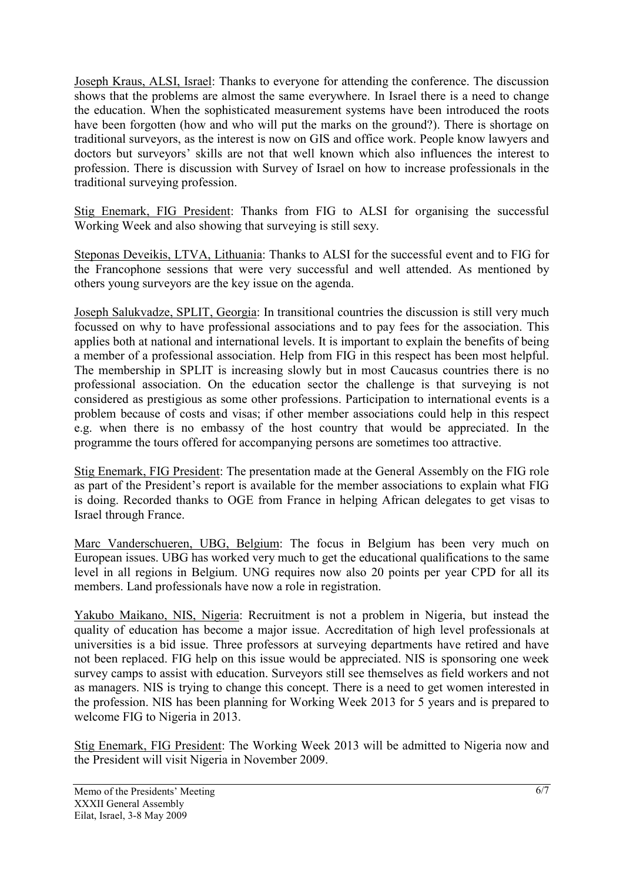Joseph Kraus, ALSI, Israel: Thanks to everyone for attending the conference. The discussion shows that the problems are almost the same everywhere. In Israel there is a need to change the education. When the sophisticated measurement systems have been introduced the roots have been forgotten (how and who will put the marks on the ground?). There is shortage on traditional surveyors, as the interest is now on GIS and office work. People know lawyers and doctors but surveyors' skills are not that well known which also influences the interest to profession. There is discussion with Survey of Israel on how to increase professionals in the traditional surveying profession.

Stig Enemark, FIG President: Thanks from FIG to ALSI for organising the successful Working Week and also showing that surveying is still sexy.

Steponas Deveikis, LTVA, Lithuania: Thanks to ALSI for the successful event and to FIG for the Francophone sessions that were very successful and well attended. As mentioned by others young surveyors are the key issue on the agenda.

Joseph Salukvadze, SPLIT, Georgia: In transitional countries the discussion is still very much focussed on why to have professional associations and to pay fees for the association. This applies both at national and international levels. It is important to explain the benefits of being a member of a professional association. Help from FIG in this respect has been most helpful. The membership in SPLIT is increasing slowly but in most Caucasus countries there is no professional association. On the education sector the challenge is that surveying is not considered as prestigious as some other professions. Participation to international events is a problem because of costs and visas; if other member associations could help in this respect e.g. when there is no embassy of the host country that would be appreciated. In the programme the tours offered for accompanying persons are sometimes too attractive.

Stig Enemark, FIG President: The presentation made at the General Assembly on the FIG role as part of the President's report is available for the member associations to explain what FIG is doing. Recorded thanks to OGE from France in helping African delegates to get visas to Israel through France.

Marc Vanderschueren, UBG, Belgium: The focus in Belgium has been very much on European issues. UBG has worked very much to get the educational qualifications to the same level in all regions in Belgium. UNG requires now also 20 points per year CPD for all its members. Land professionals have now a role in registration.

Yakubo Maikano, NIS, Nigeria: Recruitment is not a problem in Nigeria, but instead the quality of education has become a major issue. Accreditation of high level professionals at universities is a bid issue. Three professors at surveying departments have retired and have not been replaced. FIG help on this issue would be appreciated. NIS is sponsoring one week survey camps to assist with education. Surveyors still see themselves as field workers and not as managers. NIS is trying to change this concept. There is a need to get women interested in the profession. NIS has been planning for Working Week 2013 for 5 years and is prepared to welcome FIG to Nigeria in 2013.

Stig Enemark, FIG President: The Working Week 2013 will be admitted to Nigeria now and the President will visit Nigeria in November 2009.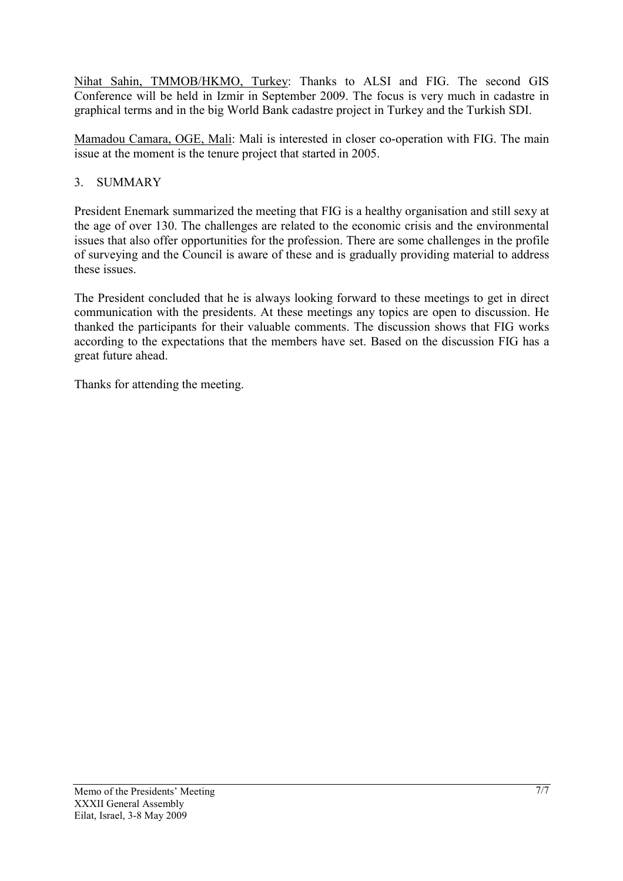Nihat Sahin, TMMOB/HKMO, Turkey: Thanks to ALSI and FIG. The second GIS Conference will be held in Izmir in September 2009. The focus is very much in cadastre in graphical terms and in the big World Bank cadastre project in Turkey and the Turkish SDI.

Mamadou Camara, OGE, Mali: Mali is interested in closer co-operation with FIG. The main issue at the moment is the tenure project that started in 2005.

# 3. SUMMARY

President Enemark summarized the meeting that FIG is a healthy organisation and still sexy at the age of over 130. The challenges are related to the economic crisis and the environmental issues that also offer opportunities for the profession. There are some challenges in the profile of surveying and the Council is aware of these and is gradually providing material to address these issues.

The President concluded that he is always looking forward to these meetings to get in direct communication with the presidents. At these meetings any topics are open to discussion. He thanked the participants for their valuable comments. The discussion shows that FIG works according to the expectations that the members have set. Based on the discussion FIG has a great future ahead.

Thanks for attending the meeting.